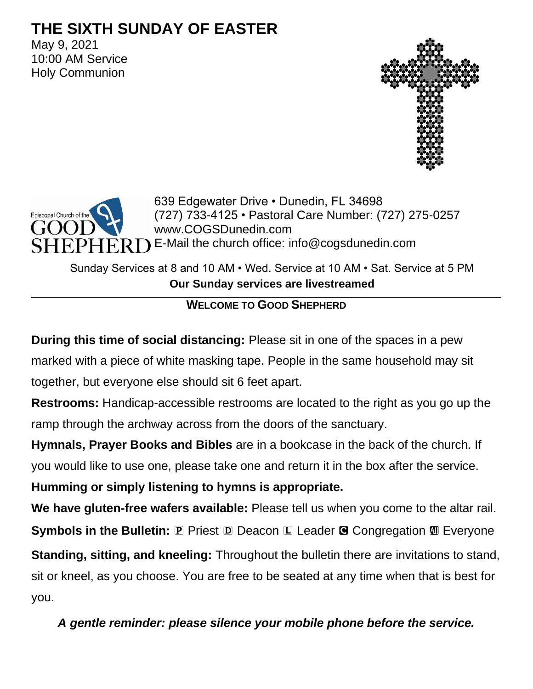# **THE SIXTH SUNDAY OF EASTER**

May 9, 2021 10:00 AM Service Holy Communion





639 Edgewater Drive • Dunedin, FL 34698 (727) 733-4125 • Pastoral Care Number: (727) 275-0257 www.COGSDunedin.com E-Mail the church office: info@cogsdunedin.com

Sunday Services at 8 and 10 AM • Wed. Service at 10 AM • Sat. Service at 5 PM **Our Sunday services are livestreamed**

## **WELCOME TO GOOD SHEPHERD**

**During this time of social distancing:** Please sit in one of the spaces in a pew marked with a piece of white masking tape. People in the same household may sit together, but everyone else should sit 6 feet apart.

**Restrooms:** Handicap-accessible restrooms are located to the right as you go up the ramp through the archway across from the doors of the sanctuary.

**Hymnals, Prayer Books and Bibles** are in a bookcase in the back of the church. If

you would like to use one, please take one and return it in the box after the service.

**Humming or simply listening to hymns is appropriate.**

**We have gluten-free wafers available:** Please tell us when you come to the altar rail. **Symbols in the Bulletin: P** Priest **D** Deacon **L** Leader **G** Congregation **M** Everyone **Standing, sitting, and kneeling:** Throughout the bulletin there are invitations to stand, sit or kneel, as you choose. You are free to be seated at any time when that is best for you.

*A gentle reminder: please silence your mobile phone before the service.*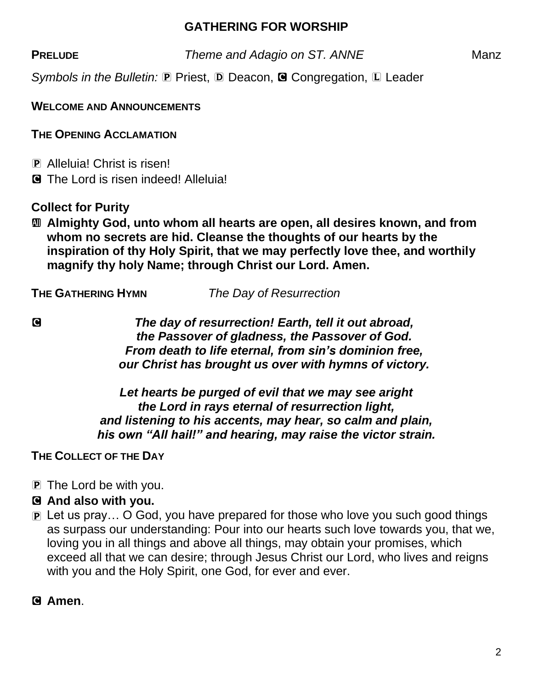### **GATHERING FOR WORSHIP**

**PRELUDE** *Theme and Adagio on ST. ANNE* Manz

*Symbols in the Bulletin:* P Priest, D Deacon, **G** Congregation, L Leader

**WELCOME AND ANNOUNCEMENTS**

**THE OPENING ACCLAMATION**

P Alleluia! Christ is risen! C The Lord is risen indeed! Alleluia!

**Collect for Purity**

a **Almighty God, unto whom all hearts are open, all desires known, and from whom no secrets are hid. Cleanse the thoughts of our hearts by the inspiration of thy Holy Spirit, that we may perfectly love thee, and worthily magnify thy holy Name; through Christ our Lord. Amen.**

**THE GATHERING HYMN** *The Day of Resurrection*

C *The day of resurrection! Earth, tell it out abroad, the Passover of gladness, the Passover of God. From death to life eternal, from sin's dominion free, our Christ has brought us over with hymns of victory.*

> *Let hearts be purged of evil that we may see aright the Lord in rays eternal of resurrection light, and listening to his accents, may hear, so calm and plain, his own "All hail!" and hearing, may raise the victor strain.*

**THE COLLECT OF THE DAY**

P The Lord be with you.

#### C **And also with you.**

P Let us pray… O God, you have prepared for those who love you such good things as surpass our understanding: Pour into our hearts such love towards you, that we, loving you in all things and above all things, may obtain your promises, which exceed all that we can desire; through Jesus Christ our Lord, who lives and reigns with you and the Holy Spirit, one God, for ever and ever.

C **Amen**.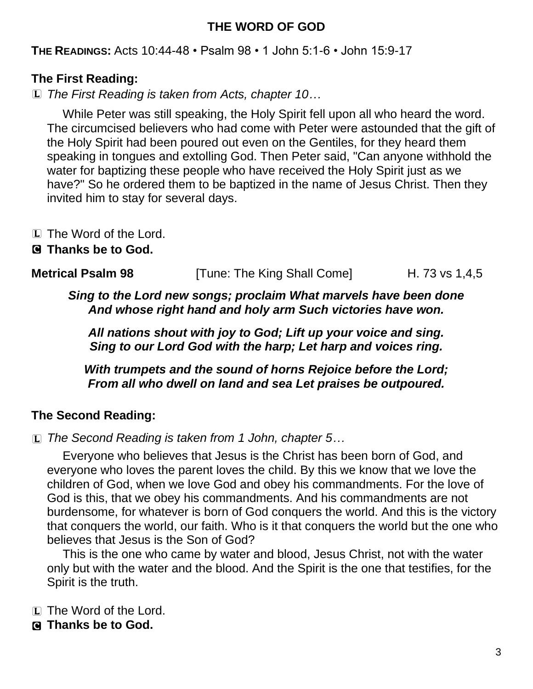### **THE WORD OF GOD**

**THE READINGS:** Acts 10:44-48 • Psalm 98 • 1 John 5:1-6 • John 15:9-17

### **The First Reading:**

L *The First Reading is taken from Acts, chapter 10…*

While Peter was still speaking, the Holy Spirit fell upon all who heard the word. The circumcised believers who had come with Peter were astounded that the gift of the Holy Spirit had been poured out even on the Gentiles, for they heard them speaking in tongues and extolling God. Then Peter said, "Can anyone withhold the water for baptizing these people who have received the Holy Spirit just as we have?" So he ordered them to be baptized in the name of Jesus Christ. Then they invited him to stay for several days.

- L The Word of the Lord.
- C **Thanks be to God.**

| <b>Metrical Psalm 98</b> | [Tune: The King Shall Come] | H. 73 vs 1,4,5 |
|--------------------------|-----------------------------|----------------|
|--------------------------|-----------------------------|----------------|

*Sing to the Lord new songs; proclaim What marvels have been done And whose right hand and holy arm Such victories have won.*

*All nations shout with joy to God; Lift up your voice and sing. Sing to our Lord God with the harp; Let harp and voices ring.*

*With trumpets and the sound of horns Rejoice before the Lord; From all who dwell on land and sea Let praises be outpoured.*

### **The Second Reading:**

L *The Second Reading is taken from 1 John, chapter 5…*

Everyone who believes that Jesus is the Christ has been born of God, and everyone who loves the parent loves the child. By this we know that we love the children of God, when we love God and obey his commandments. For the love of God is this, that we obey his commandments. And his commandments are not burdensome, for whatever is born of God conquers the world. And this is the victory that conquers the world, our faith. Who is it that conquers the world but the one who believes that Jesus is the Son of God?

This is the one who came by water and blood, Jesus Christ, not with the water only but with the water and the blood. And the Spirit is the one that testifies, for the Spirit is the truth.

L The Word of the Lord.

C **Thanks be to God.**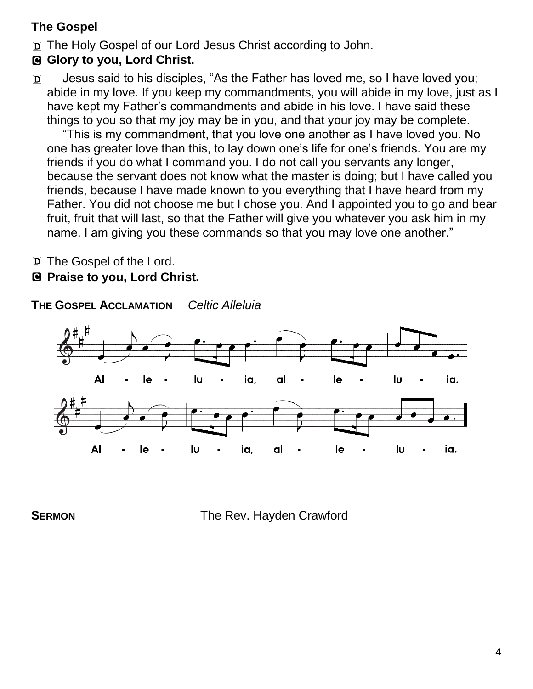# **The Gospel**

D The Holy Gospel of our Lord Jesus Christ according to John.

# C **Glory to you, Lord Christ.**

D Jesus said to his disciples, "As the Father has loved me, so I have loved you; abide in my love. If you keep my commandments, you will abide in my love, just as I have kept my Father's commandments and abide in his love. I have said these things to you so that my joy may be in you, and that your joy may be complete.

"This is my commandment, that you love one another as I have loved you. No one has greater love than this, to lay down one's life for one's friends. You are my friends if you do what I command you. I do not call you servants any longer, because the servant does not know what the master is doing; but I have called you friends, because I have made known to you everything that I have heard from my Father. You did not choose me but I chose you. And I appointed you to go and bear fruit, fruit that will last, so that the Father will give you whatever you ask him in my name. I am giving you these commands so that you may love one another."

D The Gospel of the Lord.

### C **Praise to you, Lord Christ.**

**THE GOSPEL ACCLAMATION** *Celtic Alleluia*



**SERMON** The Rev. Hayden Crawford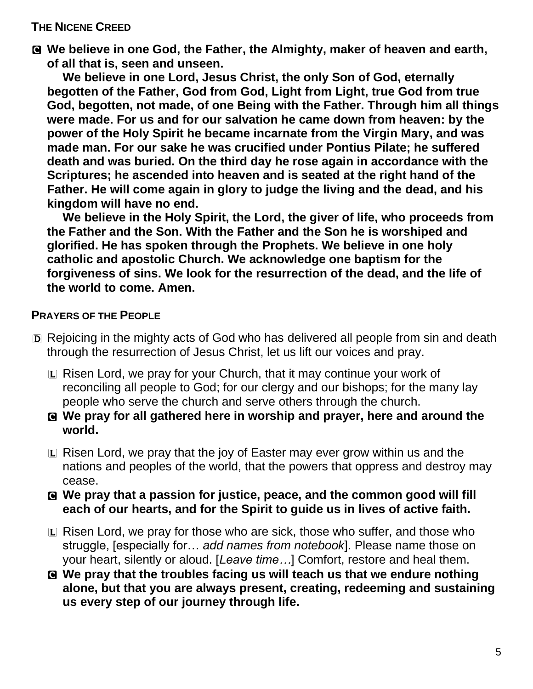#### **THE NICENE CREED**

C **We believe in one God, the Father, the Almighty, maker of heaven and earth, of all that is, seen and unseen.** 

**We believe in one Lord, Jesus Christ, the only Son of God, eternally begotten of the Father, God from God, Light from Light, true God from true God, begotten, not made, of one Being with the Father. Through him all things were made. For us and for our salvation he came down from heaven: by the power of the Holy Spirit he became incarnate from the Virgin Mary, and was made man. For our sake he was crucified under Pontius Pilate; he suffered death and was buried. On the third day he rose again in accordance with the Scriptures; he ascended into heaven and is seated at the right hand of the Father. He will come again in glory to judge the living and the dead, and his kingdom will have no end.**

**We believe in the Holy Spirit, the Lord, the giver of life, who proceeds from the Father and the Son. With the Father and the Son he is worshiped and glorified. He has spoken through the Prophets. We believe in one holy catholic and apostolic Church. We acknowledge one baptism for the forgiveness of sins. We look for the resurrection of the dead, and the life of the world to come. Amen.**

#### **PRAYERS OF THE PEOPLE**

- D Rejoicing in the mighty acts of God who has delivered all people from sin and death through the resurrection of Jesus Christ, let us lift our voices and pray.
	- L Risen Lord, we pray for your Church, that it may continue your work of reconciling all people to God; for our clergy and our bishops; for the many lay people who serve the church and serve others through the church.
	- C **We pray for all gathered here in worship and prayer, here and around the world.**
	- L Risen Lord, we pray that the joy of Easter may ever grow within us and the nations and peoples of the world, that the powers that oppress and destroy may cease.
	- C **We pray that a passion for justice, peace, and the common good will fill each of our hearts, and for the Spirit to guide us in lives of active faith.**
	- L Risen Lord, we pray for those who are sick, those who suffer, and those who struggle, [especially for… *add names from notebook*]. Please name those on your heart, silently or aloud. [*Leave time…*] Comfort, restore and heal them.
	- C **We pray that the troubles facing us will teach us that we endure nothing alone, but that you are always present, creating, redeeming and sustaining us every step of our journey through life.**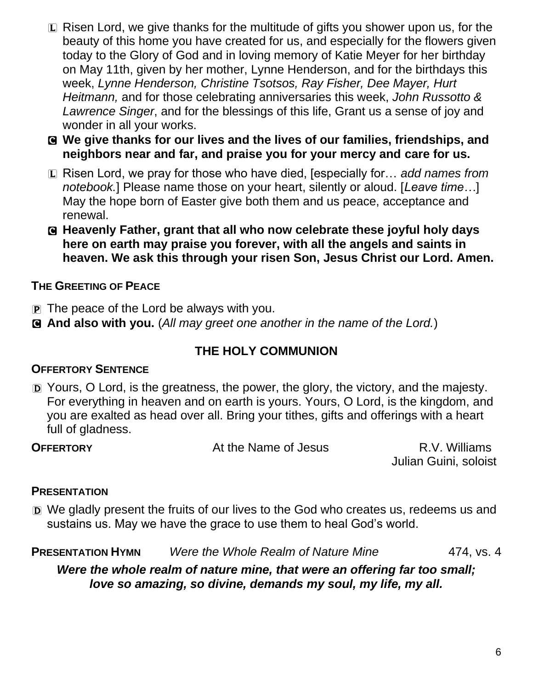- L Risen Lord, we give thanks for the multitude of gifts you shower upon us, for the beauty of this home you have created for us, and especially for the flowers given today to the Glory of God and in loving memory of Katie Meyer for her birthday on May 11th, given by her mother, Lynne Henderson, and for the birthdays this week, *Lynne Henderson, Christine Tsotsos, Ray Fisher, Dee Mayer, Hurt Heitmann,* and for those celebrating anniversaries this week, *John Russotto & Lawrence Singer*, and for the blessings of this life, Grant us a sense of joy and wonder in all your works.
- C **We give thanks for our lives and the lives of our families, friendships, and neighbors near and far, and praise you for your mercy and care for us.**
- L Risen Lord, we pray for those who have died, [especially for… *add names from notebook.*] Please name those on your heart, silently or aloud. [*Leave time…*] May the hope born of Easter give both them and us peace, acceptance and renewal.
- C **Heavenly Father, grant that all who now celebrate these joyful holy days here on earth may praise you forever, with all the angels and saints in heaven. We ask this through your risen Son, Jesus Christ our Lord. Amen.**

### **THE GREETING OF PEACE**

- P The peace of the Lord be always with you.
- C **And also with you.** (*All may greet one another in the name of the Lord.*)

# **THE HOLY COMMUNION**

## **OFFERTORY SENTENCE**

D Yours, O Lord, is the greatness, the power, the glory, the victory, and the majesty. For everything in heaven and on earth is yours. Yours, O Lord, is the kingdom, and you are exalted as head over all. Bring your tithes, gifts and offerings with a heart full of gladness.

**OFFERTORY** At the Name of Jesus R.V. Williams

Julian Guini, soloist

## **PRESENTATION**

D We gladly present the fruits of our lives to the God who creates us, redeems us and sustains us. May we have the grace to use them to heal God's world.

| <b>PRESENTATION HYMN</b> | Were the Whole Realm of Nature Mine | 474, vs. 4 |
|--------------------------|-------------------------------------|------------|
|--------------------------|-------------------------------------|------------|

*Were the whole realm of nature mine, that were an offering far too small; love so amazing, so divine, demands my soul, my life, my all.*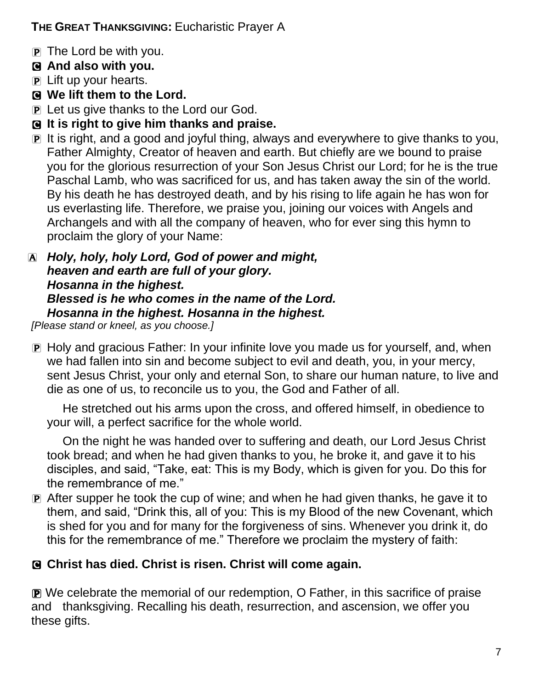## **THE GREAT THANKSGIVING:** Eucharistic Prayer A

- P The Lord be with you.
- C **And also with you.**
- P Lift up your hearts.
- C **We lift them to the Lord.**
- **P** Let us give thanks to the Lord our God.
- C **It is right to give him thanks and praise.**
- P It is right, and a good and joyful thing, always and everywhere to give thanks to you, Father Almighty, Creator of heaven and earth. But chiefly are we bound to praise you for the glorious resurrection of your Son Jesus Christ our Lord; for he is the true Paschal Lamb, who was sacrificed for us, and has taken away the sin of the world. By his death he has destroyed death, and by his rising to life again he has won for us everlasting life. Therefore, we praise you, joining our voices with Angels and Archangels and with all the company of heaven, who for ever sing this hymn to proclaim the glory of your Name:
- A *Holy, holy, holy Lord, God of power and might, heaven and earth are full of your glory. Hosanna in the highest. Blessed is he who comes in the name of the Lord. Hosanna in the highest. Hosanna in the highest.*

*[Please stand or kneel, as you choose.]*

P Holy and gracious Father: In your infinite love you made us for yourself, and, when we had fallen into sin and become subject to evil and death, you, in your mercy, sent Jesus Christ, your only and eternal Son, to share our human nature, to live and die as one of us, to reconcile us to you, the God and Father of all.

He stretched out his arms upon the cross, and offered himself, in obedience to your will, a perfect sacrifice for the whole world.

On the night he was handed over to suffering and death, our Lord Jesus Christ took bread; and when he had given thanks to you, he broke it, and gave it to his disciples, and said, "Take, eat: This is my Body, which is given for you. Do this for the remembrance of me."

P After supper he took the cup of wine; and when he had given thanks, he gave it to them, and said, "Drink this, all of you: This is my Blood of the new Covenant, which is shed for you and for many for the forgiveness of sins. Whenever you drink it, do this for the remembrance of me." Therefore we proclaim the mystery of faith:

## C **Christ has died. Christ is risen. Christ will come again.**

P We celebrate the memorial of our redemption, O Father, in this sacrifice of praise and thanksgiving. Recalling his death, resurrection, and ascension, we offer you these gifts.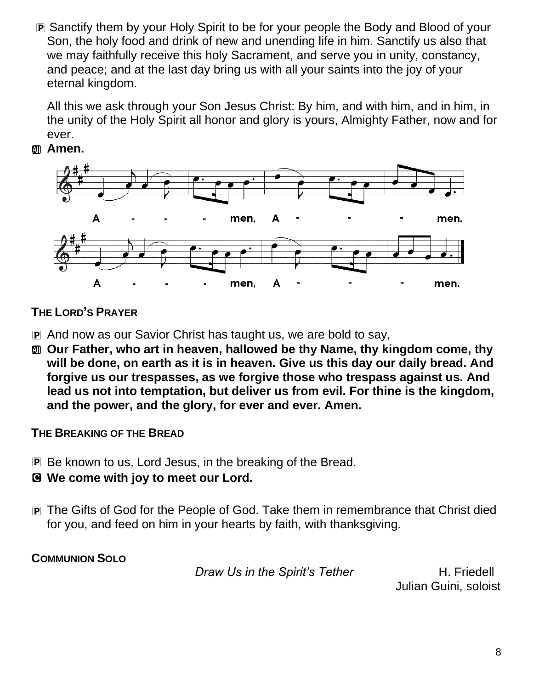P Sanctify them by your Holy Spirit to be for your people the Body and Blood of your Son, the holy food and drink of new and unending life in him. Sanctify us also that we may faithfully receive this holy Sacrament, and serve you in unity, constancy, and peace; and at the last day bring us with all your saints into the joy of your eternal kingdom.

All this we ask through your Son Jesus Christ: By him, and with him, and in him, in the unity of the Holy Spirit all honor and glory is yours, Almighty Father, now and for ever.





### **THE LORD'S PRAYER**

- P And now as our Savior Christ has taught us, we are bold to say,
- $\mathbf{m}$  **Our Father, who art in heaven, hallowed be thy Name, thy kingdom come, thy will be done, on earth as it is in heaven. Give us this day our daily bread. And forgive us our trespasses, as we forgive those who trespass against us. And lead us not into temptation, but deliver us from evil. For thine is the kingdom, and the power, and the glory, for ever and ever. Amen.**

#### **THE BREAKING OF THE BREAD**

- P Be known to us, Lord Jesus, in the breaking of the Bread.
- C **We come with joy to meet our Lord.**
- P The Gifts of God for the People of God. Take them in remembrance that Christ died for you, and feed on him in your hearts by faith, with thanksgiving.

**COMMUNION SOLO**

*Draw Us in the Spirit's Tether* H. Friedell

Julian Guini, soloist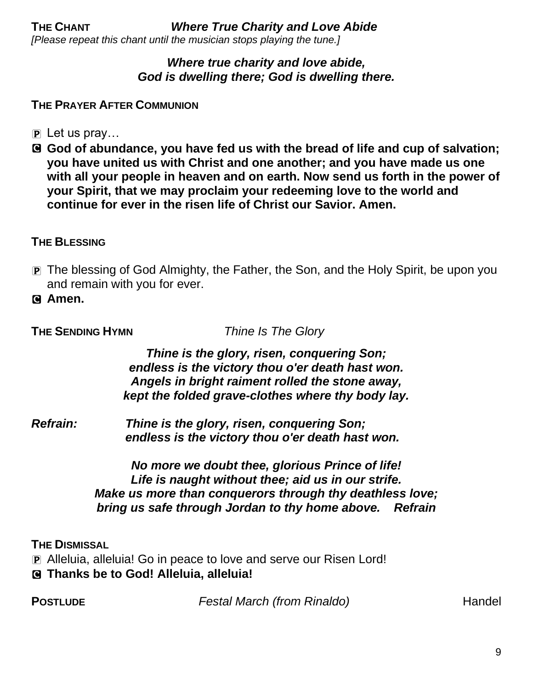#### *Where true charity and love abide, God is dwelling there; God is dwelling there.*

#### **THE PRAYER AFTER COMMUNION**

- $\overline{P}$  Let us pray...
- C **God of abundance, you have fed us with the bread of life and cup of salvation; you have united us with Christ and one another; and you have made us one with all your people in heaven and on earth. Now send us forth in the power of your Spirit, that we may proclaim your redeeming love to the world and continue for ever in the risen life of Christ our Savior. Amen.**

#### **THE BLESSING**

- P The blessing of God Almighty, the Father, the Son, and the Holy Spirit, be upon you and remain with you for ever.
- C **Amen.**

**THE SENDING HYMN** *Thine Is The Glory*

*Thine is the glory, risen, conquering Son; endless is the victory thou o'er death hast won. Angels in bright raiment rolled the stone away, kept the folded grave-clothes where thy body lay.* 

*Refrain: Thine is the glory, risen, conquering Son; endless is the victory thou o'er death hast won.*

> *No more we doubt thee, glorious Prince of life! Life is naught without thee; aid us in our strife. Make us more than conquerors through thy deathless love; bring us safe through Jordan to thy home above. Refrain*

#### **THE DISMISSAL**

P Alleluia, alleluia! Go in peace to love and serve our Risen Lord! C **Thanks be to God! Alleluia, alleluia!**

**POSTLUDE** *Festal March (from Rinaldo)* **Handel**